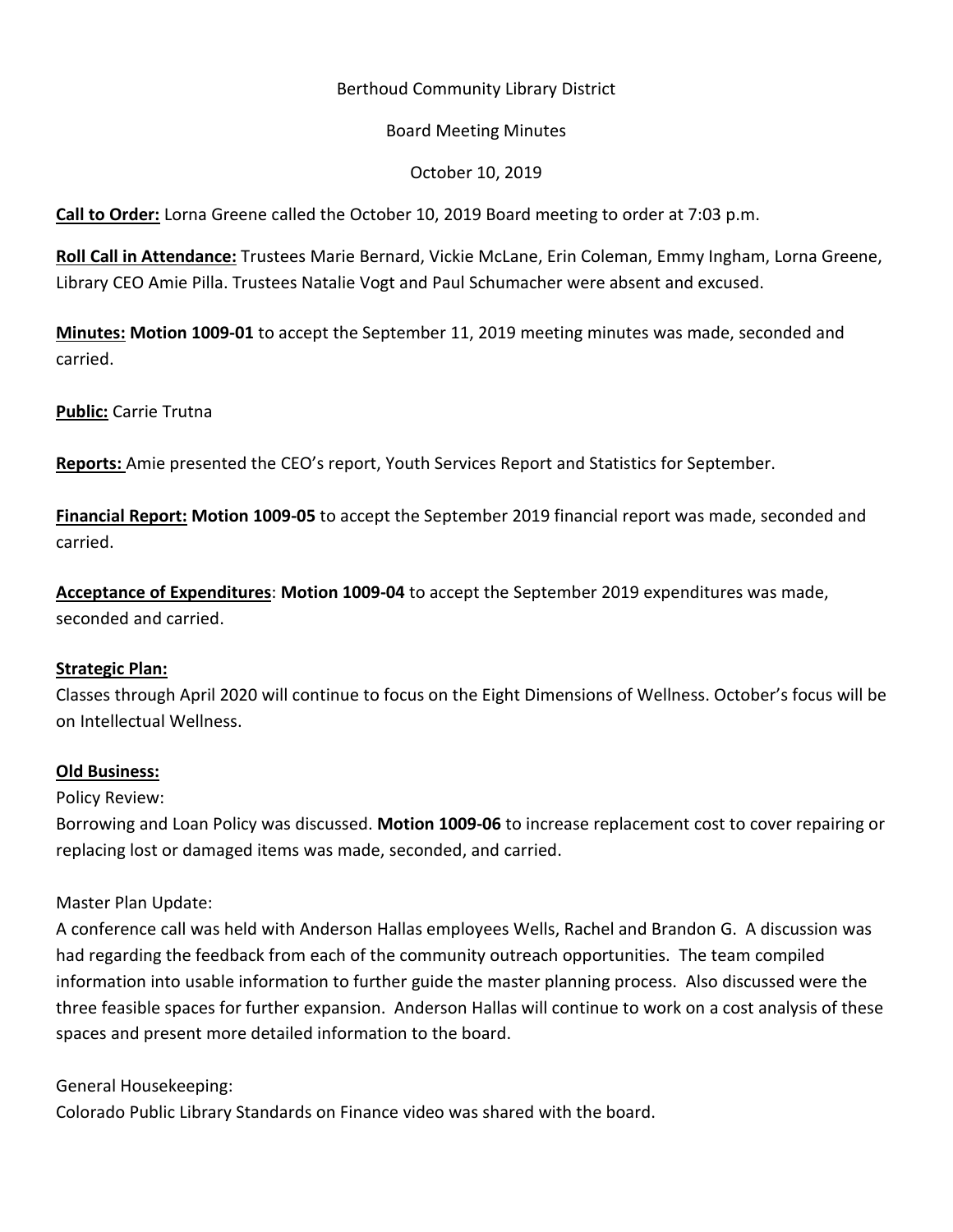# Berthoud Community Library District

### Board Meeting Minutes

## October 10, 2019

**Call to Order:** Lorna Greene called the October 10, 2019 Board meeting to order at 7:03 p.m.

**Roll Call in Attendance:** Trustees Marie Bernard, Vickie McLane, Erin Coleman, Emmy Ingham, Lorna Greene, Library CEO Amie Pilla. Trustees Natalie Vogt and Paul Schumacher were absent and excused.

**Minutes: Motion 1009-01** to accept the September 11, 2019 meeting minutes was made, seconded and carried.

**Public:** Carrie Trutna

**Reports:** Amie presented the CEO's report, Youth Services Report and Statistics for September.

**Financial Report: Motion 1009-05** to accept the September 2019 financial report was made, seconded and carried.

**Acceptance of Expenditures**: **Motion 1009-04** to accept the September 2019 expenditures was made, seconded and carried.

### **Strategic Plan:**

Classes through April 2020 will continue to focus on the Eight Dimensions of Wellness. October's focus will be on Intellectual Wellness.

### **Old Business:**

Policy Review:

Borrowing and Loan Policy was discussed. **Motion 1009-06** to increase replacement cost to cover repairing or replacing lost or damaged items was made, seconded, and carried.

Master Plan Update:

A conference call was held with Anderson Hallas employees Wells, Rachel and Brandon G. A discussion was had regarding the feedback from each of the community outreach opportunities. The team compiled information into usable information to further guide the master planning process. Also discussed were the three feasible spaces for further expansion. Anderson Hallas will continue to work on a cost analysis of these spaces and present more detailed information to the board.

# General Housekeeping:

Colorado Public Library Standards on Finance video was shared with the board.